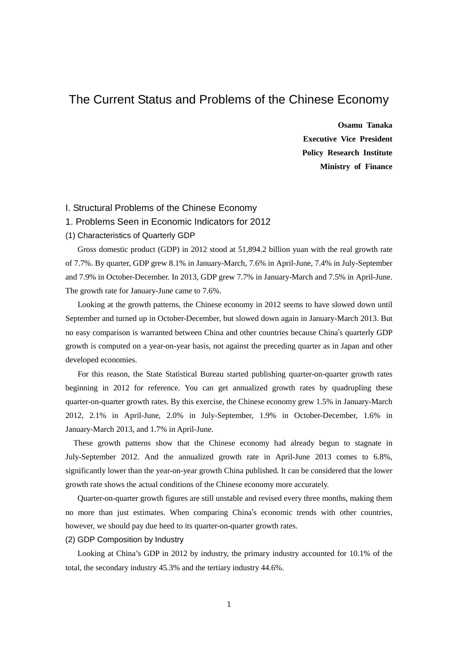# The Current Status and Problems of the Chinese Economy

**Osamu Tanaka Executive Vice President Policy Research Institute Ministry of Finance**

# I. Structural Problems of the Chinese Economy

# 1. Problems Seen in Economic Indicators for 2012

#### (1) Characteristics of Quarterly GDP

 Gross domestic product (GDP) in 2012 stood at 51,894.2 billion yuan with the real growth rate of 7.7%. By quarter, GDP grew 8.1% in January-March, 7.6% in April-June, 7.4% in July-September and 7.9% in October-December. In 2013, GDP grew 7.7% in January-March and 7.5% in April-June. The growth rate for January-June came to 7.6%.

 Looking at the growth patterns, the Chinese economy in 2012 seems to have slowed down until September and turned up in October-December, but slowed down again in January-March 2013. But no easy comparison is warranted between China and other countries because China's quarterly GDP growth is computed on a year-on-year basis, not against the preceding quarter as in Japan and other developed economies.

 For this reason, the State Statistical Bureau started publishing quarter-on-quarter growth rates beginning in 2012 for reference. You can get annualized growth rates by quadrupling these quarter-on-quarter growth rates. By this exercise, the Chinese economy grew 1.5% in January-March 2012, 2.1% in April-June, 2.0% in July-September, 1.9% in October-December, 1.6% in January-March 2013, and 1.7% in April-June.

These growth patterns show that the Chinese economy had already begun to stagnate in July-September 2012. And the annualized growth rate in April-June 2013 comes to 6.8%, significantly lower than the year-on-year growth China published. It can be considered that the lower growth rate shows the actual conditions of the Chinese economy more accurately.

 Quarter-on-quarter growth figures are still unstable and revised every three months, making them no more than just estimates. When comparing China's economic trends with other countries, however, we should pay due heed to its quarter-on-quarter growth rates.

# (2) GDP Composition by Industry

 Looking at China's GDP in 2012 by industry, the primary industry accounted for 10.1% of the total, the secondary industry 45.3% and the tertiary industry 44.6%.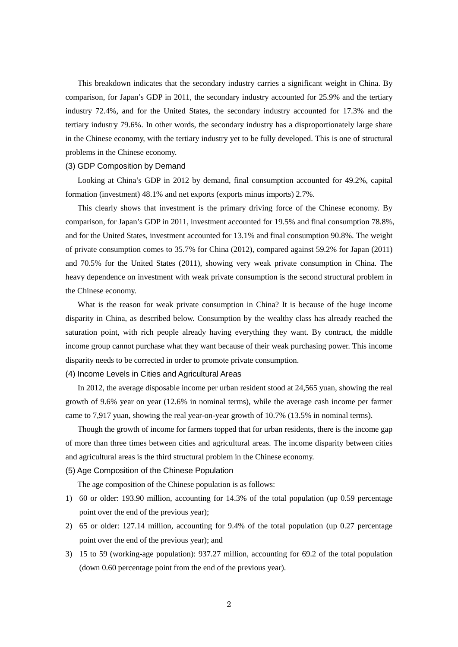This breakdown indicates that the secondary industry carries a significant weight in China. By comparison, for Japan's GDP in 2011, the secondary industry accounted for 25.9% and the tertiary industry 72.4%, and for the United States, the secondary industry accounted for 17.3% and the tertiary industry 79.6%. In other words, the secondary industry has a disproportionately large share in the Chinese economy, with the tertiary industry yet to be fully developed. This is one of structural problems in the Chinese economy.

#### (3) GDP Composition by Demand

 Looking at China's GDP in 2012 by demand, final consumption accounted for 49.2%, capital formation (investment) 48.1% and net exports (exports minus imports) 2.7%.

 This clearly shows that investment is the primary driving force of the Chinese economy. By comparison, for Japan's GDP in 2011, investment accounted for 19.5% and final consumption 78.8%, and for the United States, investment accounted for 13.1% and final consumption 90.8%. The weight of private consumption comes to 35.7% for China (2012), compared against 59.2% for Japan (2011) and 70.5% for the United States (2011), showing very weak private consumption in China. The heavy dependence on investment with weak private consumption is the second structural problem in the Chinese economy.

 What is the reason for weak private consumption in China? It is because of the huge income disparity in China, as described below. Consumption by the wealthy class has already reached the saturation point, with rich people already having everything they want. By contract, the middle income group cannot purchase what they want because of their weak purchasing power. This income disparity needs to be corrected in order to promote private consumption.

# (4) Income Levels in Cities and Agricultural Areas

 In 2012, the average disposable income per urban resident stood at 24,565 yuan, showing the real growth of 9.6% year on year (12.6% in nominal terms), while the average cash income per farmer came to 7,917 yuan, showing the real year-on-year growth of 10.7% (13.5% in nominal terms).

 Though the growth of income for farmers topped that for urban residents, there is the income gap of more than three times between cities and agricultural areas. The income disparity between cities and agricultural areas is the third structural problem in the Chinese economy.

(5) Age Composition of the Chinese Population

The age composition of the Chinese population is as follows:

- 1) 60 or older: 193.90 million, accounting for 14.3% of the total population (up 0.59 percentage point over the end of the previous year);
- 2) 65 or older: 127.14 million, accounting for 9.4% of the total population (up 0.27 percentage point over the end of the previous year); and
- 3) 15 to 59 (working-age population): 937.27 million, accounting for 69.2 of the total population (down 0.60 percentage point from the end of the previous year).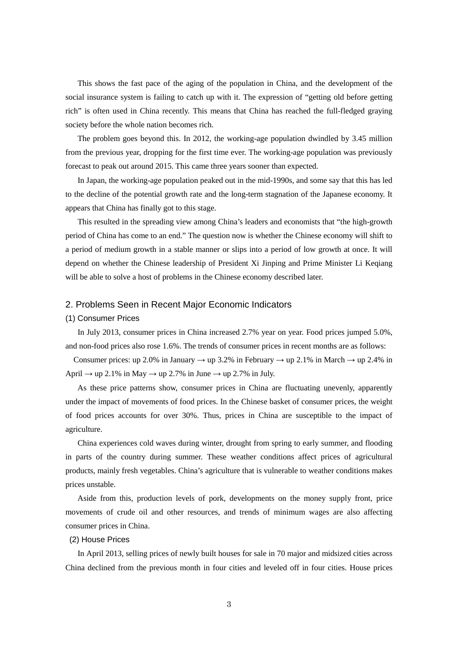This shows the fast pace of the aging of the population in China, and the development of the social insurance system is failing to catch up with it. The expression of "getting old before getting rich" is often used in China recently. This means that China has reached the full-fledged graying society before the whole nation becomes rich.

 The problem goes beyond this. In 2012, the working-age population dwindled by 3.45 million from the previous year, dropping for the first time ever. The working-age population was previously forecast to peak out around 2015. This came three years sooner than expected.

 In Japan, the working-age population peaked out in the mid-1990s, and some say that this has led to the decline of the potential growth rate and the long-term stagnation of the Japanese economy. It appears that China has finally got to this stage.

 This resulted in the spreading view among China's leaders and economists that "the high-growth period of China has come to an end." The question now is whether the Chinese economy will shift to a period of medium growth in a stable manner or slips into a period of low growth at once. It will depend on whether the Chinese leadership of President Xi Jinping and Prime Minister Li Keqiang will be able to solve a host of problems in the Chinese economy described later.

# 2. Problems Seen in Recent Major Economic Indicators

#### (1) Consumer Prices

 In July 2013, consumer prices in China increased 2.7% year on year. Food prices jumped 5.0%, and non-food prices also rose 1.6%. The trends of consumer prices in recent months are as follows:

Consumer prices: up 2.0% in January  $\rightarrow$  up 3.2% in February  $\rightarrow$  up 2.1% in March  $\rightarrow$  up 2.4% in April  $\rightarrow$  up 2.1% in May  $\rightarrow$  up 2.7% in June  $\rightarrow$  up 2.7% in July.

 As these price patterns show, consumer prices in China are fluctuating unevenly, apparently under the impact of movements of food prices. In the Chinese basket of consumer prices, the weight of food prices accounts for over 30%. Thus, prices in China are susceptible to the impact of agriculture.

 China experiences cold waves during winter, drought from spring to early summer, and flooding in parts of the country during summer. These weather conditions affect prices of agricultural products, mainly fresh vegetables. China's agriculture that is vulnerable to weather conditions makes prices unstable.

 Aside from this, production levels of pork, developments on the money supply front, price movements of crude oil and other resources, and trends of minimum wages are also affecting consumer prices in China.

# (2) House Prices

 In April 2013, selling prices of newly built houses for sale in 70 major and midsized cities across China declined from the previous month in four cities and leveled off in four cities. House prices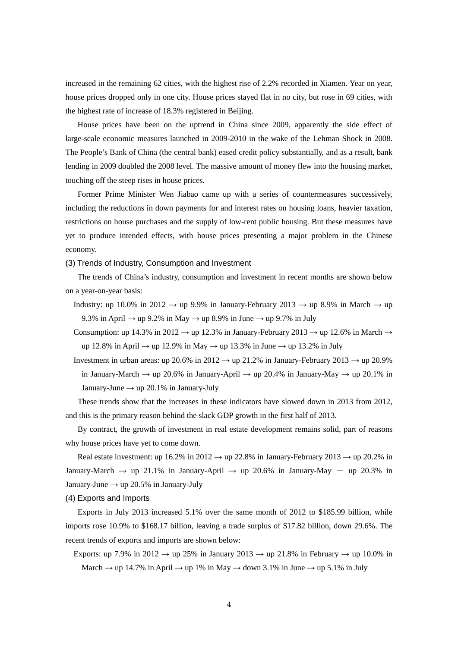increased in the remaining 62 cities, with the highest rise of 2.2% recorded in Xiamen. Year on year, house prices dropped only in one city. House prices stayed flat in no city, but rose in 69 cities, with the highest rate of increase of 18.3% registered in Beijing.

 House prices have been on the uptrend in China since 2009, apparently the side effect of large-scale economic measures launched in 2009-2010 in the wake of the Lehman Shock in 2008. The People's Bank of China (the central bank) eased credit policy substantially, and as a result, bank lending in 2009 doubled the 2008 level. The massive amount of money flew into the housing market, touching off the steep rises in house prices.

 Former Prime Minister Wen Jiabao came up with a series of countermeasures successively, including the reductions in down payments for and interest rates on housing loans, heavier taxation, restrictions on house purchases and the supply of low-rent public housing. But these measures have yet to produce intended effects, with house prices presenting a major problem in the Chinese economy.

#### (3) Trends of Industry, Consumption and Investment

 The trends of China's industry, consumption and investment in recent months are shown below on a year-on-year basis:

Industry: up 10.0% in 2012  $\rightarrow$  up 9.9% in January-February 2013  $\rightarrow$  up 8.9% in March  $\rightarrow$  up 9.3% in April  $\rightarrow$  up 9.2% in May  $\rightarrow$  up 8.9% in June  $\rightarrow$  up 9.7% in July

Consumption: up 14.3% in 2012  $\rightarrow$  up 12.3% in January-February 2013  $\rightarrow$  up 12.6% in March  $\rightarrow$ up 12.8% in April  $\rightarrow$  up 12.9% in May  $\rightarrow$  up 13.3% in June  $\rightarrow$  up 13.2% in July

Investment in urban areas: up 20.6% in 2012  $\rightarrow$  up 21.2% in January-February 2013  $\rightarrow$  up 20.9% in January-March  $\rightarrow$  up 20.6% in January-April  $\rightarrow$  up 20.4% in January-May  $\rightarrow$  up 20.1% in January-June  $\rightarrow$  up 20.1% in January-July

 These trends show that the increases in these indicators have slowed down in 2013 from 2012, and this is the primary reason behind the slack GDP growth in the first half of 2013.

 By contract, the growth of investment in real estate development remains solid, part of reasons why house prices have yet to come down.

Real estate investment: up 16.2% in 2012  $\rightarrow$  up 22.8% in January-February 2013  $\rightarrow$  up 20.2% in January-March  $\rightarrow$  up 21.1% in January-April  $\rightarrow$  up 20.6% in January-May  $-$  up 20.3% in January-June  $\rightarrow$  up 20.5% in January-July

#### (4) Exports and Imports

 Exports in July 2013 increased 5.1% over the same month of 2012 to \$185.99 billion, while imports rose 10.9% to \$168.17 billion, leaving a trade surplus of \$17.82 billion, down 29.6%. The recent trends of exports and imports are shown below:

Exports: up 7.9% in 2012  $\rightarrow$  up 25% in January 2013  $\rightarrow$  up 21.8% in February  $\rightarrow$  up 10.0% in March  $\rightarrow$  up 14.7% in April  $\rightarrow$  up 1% in May  $\rightarrow$  down 3.1% in June  $\rightarrow$  up 5.1% in July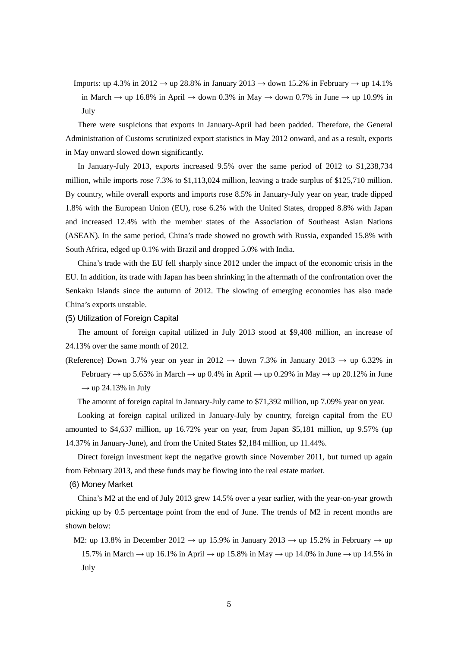Imports: up 4.3% in 2012  $\rightarrow$  up 28.8% in January 2013  $\rightarrow$  down 15.2% in February  $\rightarrow$  up 14.1% in March  $\rightarrow$  up 16.8% in April  $\rightarrow$  down 0.3% in May  $\rightarrow$  down 0.7% in June  $\rightarrow$  up 10.9% in July

 There were suspicions that exports in January-April had been padded. Therefore, the General Administration of Customs scrutinized export statistics in May 2012 onward, and as a result, exports in May onward slowed down significantly.

 In January-July 2013, exports increased 9.5% over the same period of 2012 to \$1,238,734 million, while imports rose 7.3% to \$1,113,024 million, leaving a trade surplus of \$125,710 million. By country, while overall exports and imports rose 8.5% in January-July year on year, trade dipped 1.8% with the European Union (EU), rose 6.2% with the United States, dropped 8.8% with Japan and increased 12.4% with the member states of the Association of Southeast Asian Nations (ASEAN). In the same period, China's trade showed no growth with Russia, expanded 15.8% with South Africa, edged up 0.1% with Brazil and dropped 5.0% with India.

 China's trade with the EU fell sharply since 2012 under the impact of the economic crisis in the EU. In addition, its trade with Japan has been shrinking in the aftermath of the confrontation over the Senkaku Islands since the autumn of 2012. The slowing of emerging economies has also made China's exports unstable.

#### (5) Utilization of Foreign Capital

 The amount of foreign capital utilized in July 2013 stood at \$9,408 million, an increase of 24.13% over the same month of 2012.

(Reference) Down 3.7% year on year in 2012  $\rightarrow$  down 7.3% in January 2013  $\rightarrow$  up 6.32% in February  $\rightarrow$  up 5.65% in March  $\rightarrow$  up 0.4% in April  $\rightarrow$  up 0.29% in May  $\rightarrow$  up 20.12% in June  $\rightarrow$  up 24.13% in July

The amount of foreign capital in January-July came to \$71,392 million, up 7.09% year on year.

Looking at foreign capital utilized in January-July by country, foreign capital from the EU amounted to \$4,637 million, up 16.72% year on year, from Japan \$5,181 million, up 9.57% (up 14.37% in January-June), and from the United States \$2,184 million, up 11.44%.

Direct foreign investment kept the negative growth since November 2011, but turned up again from February 2013, and these funds may be flowing into the real estate market.

#### (6) Money Market

 China's M2 at the end of July 2013 grew 14.5% over a year earlier, with the year-on-year growth picking up by 0.5 percentage point from the end of June. The trends of M2 in recent months are shown below:

M2: up 13.8% in December 2012  $\rightarrow$  up 15.9% in January 2013  $\rightarrow$  up 15.2% in February  $\rightarrow$  up 15.7% in March  $\rightarrow$  up 16.1% in April  $\rightarrow$  up 15.8% in May  $\rightarrow$  up 14.0% in June  $\rightarrow$  up 14.5% in July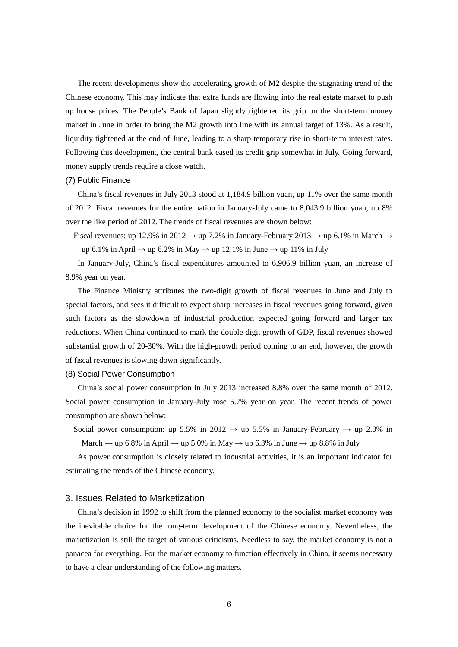The recent developments show the accelerating growth of M2 despite the stagnating trend of the Chinese economy. This may indicate that extra funds are flowing into the real estate market to push up house prices. The People's Bank of Japan slightly tightened its grip on the short-term money market in June in order to bring the M2 growth into line with its annual target of 13%. As a result, liquidity tightened at the end of June, leading to a sharp temporary rise in short-term interest rates. Following this development, the central bank eased its credit grip somewhat in July. Going forward, money supply trends require a close watch.

# (7) Public Finance

 China's fiscal revenues in July 2013 stood at 1,184.9 billion yuan, up 11% over the same month of 2012. Fiscal revenues for the entire nation in January-July came to 8,043.9 billion yuan, up 8% over the like period of 2012. The trends of fiscal revenues are shown below:

Fiscal revenues: up 12.9% in 2012  $\rightarrow$  up 7.2% in January-February 2013  $\rightarrow$  up 6.1% in March  $\rightarrow$ up 6.1% in April  $\rightarrow$  up 6.2% in May  $\rightarrow$  up 12.1% in June  $\rightarrow$  up 11% in July

 In January-July, China's fiscal expenditures amounted to 6,906.9 billion yuan, an increase of 8.9% year on year.

 The Finance Ministry attributes the two-digit growth of fiscal revenues in June and July to special factors, and sees it difficult to expect sharp increases in fiscal revenues going forward, given such factors as the slowdown of industrial production expected going forward and larger tax reductions. When China continued to mark the double-digit growth of GDP, fiscal revenues showed substantial growth of 20-30%. With the high-growth period coming to an end, however, the growth of fiscal revenues is slowing down significantly.

#### (8) Social Power Consumption

 China's social power consumption in July 2013 increased 8.8% over the same month of 2012. Social power consumption in January-July rose 5.7% year on year. The recent trends of power consumption are shown below:

Social power consumption: up 5.5% in 2012  $\rightarrow$  up 5.5% in January-February  $\rightarrow$  up 2.0% in March  $\rightarrow$  up 6.8% in April  $\rightarrow$  up 5.0% in May  $\rightarrow$  up 6.3% in June  $\rightarrow$  up 8.8% in July

 As power consumption is closely related to industrial activities, it is an important indicator for estimating the trends of the Chinese economy.

#### 3. Issues Related to Marketization

 China's decision in 1992 to shift from the planned economy to the socialist market economy was the inevitable choice for the long-term development of the Chinese economy. Nevertheless, the marketization is still the target of various criticisms. Needless to say, the market economy is not a panacea for everything. For the market economy to function effectively in China, it seems necessary to have a clear understanding of the following matters.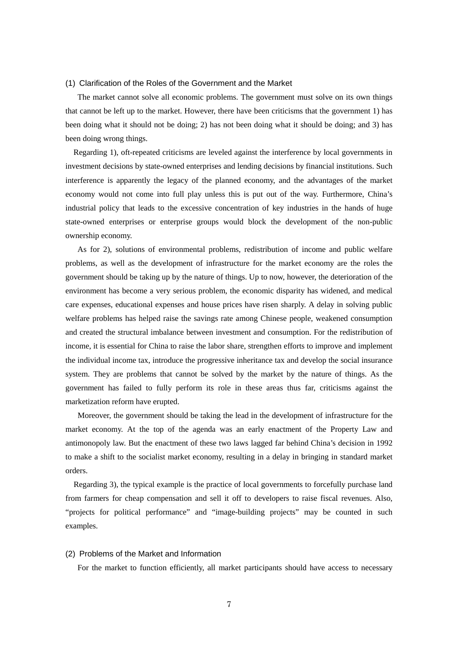#### (1) Clarification of the Roles of the Government and the Market

The market cannot solve all economic problems. The government must solve on its own things that cannot be left up to the market. However, there have been criticisms that the government 1) has been doing what it should not be doing; 2) has not been doing what it should be doing; and 3) has been doing wrong things.

Regarding 1), oft-repeated criticisms are leveled against the interference by local governments in investment decisions by state-owned enterprises and lending decisions by financial institutions. Such interference is apparently the legacy of the planned economy, and the advantages of the market economy would not come into full play unless this is put out of the way. Furthermore, China's industrial policy that leads to the excessive concentration of key industries in the hands of huge state-owned enterprises or enterprise groups would block the development of the non-public ownership economy.

 As for 2), solutions of environmental problems, redistribution of income and public welfare problems, as well as the development of infrastructure for the market economy are the roles the government should be taking up by the nature of things. Up to now, however, the deterioration of the environment has become a very serious problem, the economic disparity has widened, and medical care expenses, educational expenses and house prices have risen sharply. A delay in solving public welfare problems has helped raise the savings rate among Chinese people, weakened consumption and created the structural imbalance between investment and consumption. For the redistribution of income, it is essential for China to raise the labor share, strengthen efforts to improve and implement the individual income tax, introduce the progressive inheritance tax and develop the social insurance system. They are problems that cannot be solved by the market by the nature of things. As the government has failed to fully perform its role in these areas thus far, criticisms against the marketization reform have erupted.

 Moreover, the government should be taking the lead in the development of infrastructure for the market economy. At the top of the agenda was an early enactment of the Property Law and antimonopoly law. But the enactment of these two laws lagged far behind China's decision in 1992 to make a shift to the socialist market economy, resulting in a delay in bringing in standard market orders.

Regarding 3), the typical example is the practice of local governments to forcefully purchase land from farmers for cheap compensation and sell it off to developers to raise fiscal revenues. Also, "projects for political performance" and "image-building projects" may be counted in such examples.

#### (2) Problems of the Market and Information

For the market to function efficiently, all market participants should have access to necessary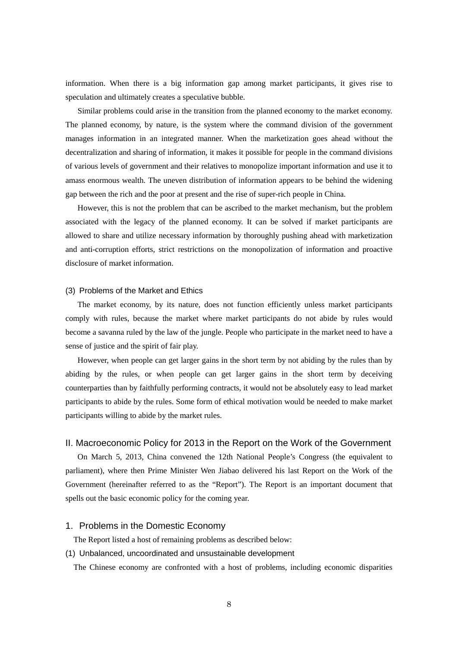information. When there is a big information gap among market participants, it gives rise to speculation and ultimately creates a speculative bubble.

 Similar problems could arise in the transition from the planned economy to the market economy. The planned economy, by nature, is the system where the command division of the government manages information in an integrated manner. When the marketization goes ahead without the decentralization and sharing of information, it makes it possible for people in the command divisions of various levels of government and their relatives to monopolize important information and use it to amass enormous wealth. The uneven distribution of information appears to be behind the widening gap between the rich and the poor at present and the rise of super-rich people in China.

 However, this is not the problem that can be ascribed to the market mechanism, but the problem associated with the legacy of the planned economy. It can be solved if market participants are allowed to share and utilize necessary information by thoroughly pushing ahead with marketization and anti-corruption efforts, strict restrictions on the monopolization of information and proactive disclosure of market information.

#### (3) Problems of the Market and Ethics

The market economy, by its nature, does not function efficiently unless market participants comply with rules, because the market where market participants do not abide by rules would become a savanna ruled by the law of the jungle. People who participate in the market need to have a sense of justice and the spirit of fair play.

 However, when people can get larger gains in the short term by not abiding by the rules than by abiding by the rules, or when people can get larger gains in the short term by deceiving counterparties than by faithfully performing contracts, it would not be absolutely easy to lead market participants to abide by the rules. Some form of ethical motivation would be needed to make market participants willing to abide by the market rules.

# II. Macroeconomic Policy for 2013 in the Report on the Work of the Government

 On March 5, 2013, China convened the 12th National People's Congress (the equivalent to parliament), where then Prime Minister Wen Jiabao delivered his last Report on the Work of the Government (hereinafter referred to as the "Report"). The Report is an important document that spells out the basic economic policy for the coming year.

# 1. Problems in the Domestic Economy

The Report listed a host of remaining problems as described below:

(1) Unbalanced, uncoordinated and unsustainable development

The Chinese economy are confronted with a host of problems, including economic disparities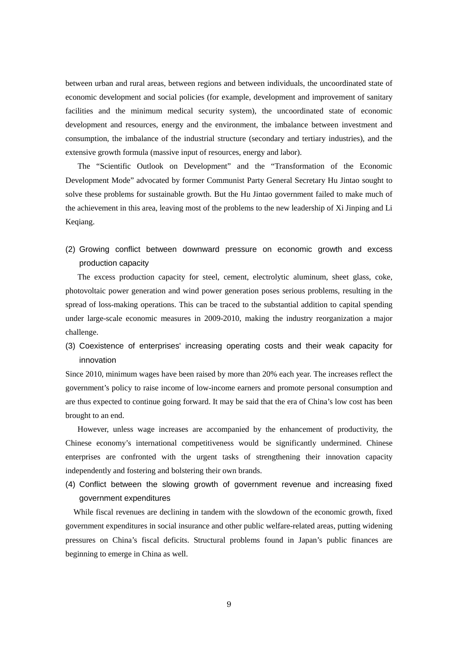between urban and rural areas, between regions and between individuals, the uncoordinated state of economic development and social policies (for example, development and improvement of sanitary facilities and the minimum medical security system), the uncoordinated state of economic development and resources, energy and the environment, the imbalance between investment and consumption, the imbalance of the industrial structure (secondary and tertiary industries), and the extensive growth formula (massive input of resources, energy and labor).

 The "Scientific Outlook on Development" and the "Transformation of the Economic Development Mode" advocated by former Communist Party General Secretary Hu Jintao sought to solve these problems for sustainable growth. But the Hu Jintao government failed to make much of the achievement in this area, leaving most of the problems to the new leadership of Xi Jinping and Li Keqiang.

(2) Growing conflict between downward pressure on economic growth and excess production capacity

The excess production capacity for steel, cement, electrolytic aluminum, sheet glass, coke, photovoltaic power generation and wind power generation poses serious problems, resulting in the spread of loss-making operations. This can be traced to the substantial addition to capital spending under large-scale economic measures in 2009-2010, making the industry reorganization a major challenge.

(3) Coexistence of enterprises' increasing operating costs and their weak capacity for innovation

Since 2010, minimum wages have been raised by more than 20% each year. The increases reflect the government's policy to raise income of low-income earners and promote personal consumption and are thus expected to continue going forward. It may be said that the era of China's low cost has been brought to an end.

However, unless wage increases are accompanied by the enhancement of productivity, the Chinese economy's international competitiveness would be significantly undermined. Chinese enterprises are confronted with the urgent tasks of strengthening their innovation capacity independently and fostering and bolstering their own brands.

(4) Conflict between the slowing growth of government revenue and increasing fixed government expenditures

While fiscal revenues are declining in tandem with the slowdown of the economic growth, fixed government expenditures in social insurance and other public welfare-related areas, putting widening pressures on China's fiscal deficits. Structural problems found in Japan's public finances are beginning to emerge in China as well.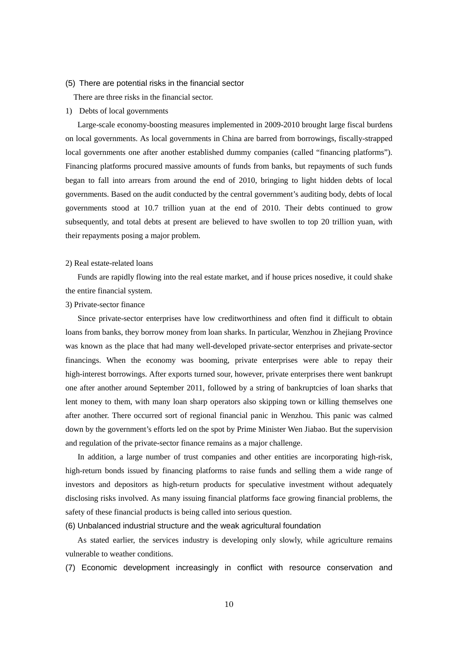#### (5) There are potential risks in the financial sector

There are three risks in the financial sector.

1) Debts of local governments

Large-scale economy-boosting measures implemented in 2009-2010 brought large fiscal burdens on local governments. As local governments in China are barred from borrowings, fiscally-strapped local governments one after another established dummy companies (called "financing platforms"). Financing platforms procured massive amounts of funds from banks, but repayments of such funds began to fall into arrears from around the end of 2010, bringing to light hidden debts of local governments. Based on the audit conducted by the central government's auditing body, debts of local governments stood at 10.7 trillion yuan at the end of 2010. Their debts continued to grow subsequently, and total debts at present are believed to have swollen to top 20 trillion yuan, with their repayments posing a major problem.

#### 2) Real estate-related loans

Funds are rapidly flowing into the real estate market, and if house prices nosedive, it could shake the entire financial system.

#### 3) Private-sector finance

 Since private-sector enterprises have low creditworthiness and often find it difficult to obtain loans from banks, they borrow money from loan sharks. In particular, Wenzhou in Zhejiang Province was known as the place that had many well-developed private-sector enterprises and private-sector financings. When the economy was booming, private enterprises were able to repay their high-interest borrowings. After exports turned sour, however, private enterprises there went bankrupt one after another around September 2011, followed by a string of bankruptcies of loan sharks that lent money to them, with many loan sharp operators also skipping town or killing themselves one after another. There occurred sort of regional financial panic in Wenzhou. This panic was calmed down by the government's efforts led on the spot by Prime Minister Wen Jiabao. But the supervision and regulation of the private-sector finance remains as a major challenge.

 In addition, a large number of trust companies and other entities are incorporating high-risk, high-return bonds issued by financing platforms to raise funds and selling them a wide range of investors and depositors as high-return products for speculative investment without adequately disclosing risks involved. As many issuing financial platforms face growing financial problems, the safety of these financial products is being called into serious question.

# (6) Unbalanced industrial structure and the weak agricultural foundation

As stated earlier, the services industry is developing only slowly, while agriculture remains vulnerable to weather conditions.

(7) Economic development increasingly in conflict with resource conservation and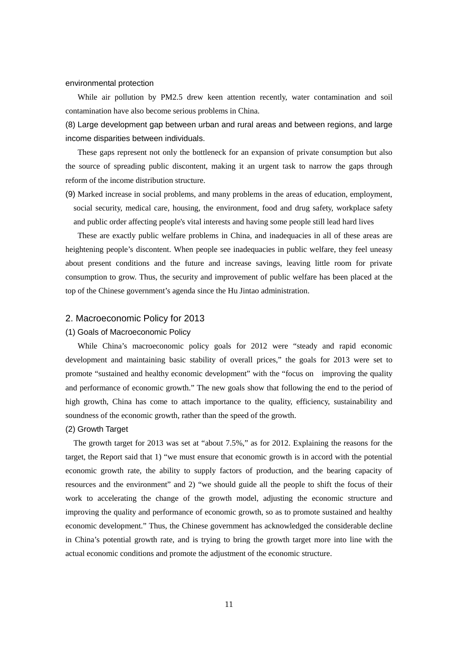#### environmental protection

 While air pollution by PM2.5 drew keen attention recently, water contamination and soil contamination have also become serious problems in China.

(8) Large development gap between urban and rural areas and between regions, and large income disparities between individuals.

 These gaps represent not only the bottleneck for an expansion of private consumption but also the source of spreading public discontent, making it an urgent task to narrow the gaps through reform of the income distribution structure.

(9) Marked increase in social problems, and many problems in the areas of education, employment, social security, medical care, housing, the environment, food and drug safety, workplace safety and public order affecting people's vital interests and having some people still lead hard lives

 These are exactly public welfare problems in China, and inadequacies in all of these areas are heightening people's discontent. When people see inadequacies in public welfare, they feel uneasy about present conditions and the future and increase savings, leaving little room for private consumption to grow. Thus, the security and improvement of public welfare has been placed at the top of the Chinese government's agenda since the Hu Jintao administration.

# 2. Macroeconomic Policy for 2013

#### (1) Goals of Macroeconomic Policy

 While China's macroeconomic policy goals for 2012 were "steady and rapid economic development and maintaining basic stability of overall prices," the goals for 2013 were set to promote "sustained and healthy economic development" with the "focus on improving the quality and performance of economic growth." The new goals show that following the end to the period of high growth, China has come to attach importance to the quality, efficiency, sustainability and soundness of the economic growth, rather than the speed of the growth.

#### (2) Growth Target

The growth target for 2013 was set at "about 7.5%," as for 2012. Explaining the reasons for the target, the Report said that 1) "we must ensure that economic growth is in accord with the potential economic growth rate, the ability to supply factors of production, and the bearing capacity of resources and the environment" and 2) "we should guide all the people to shift the focus of their work to accelerating the change of the growth model, adjusting the economic structure and improving the quality and performance of economic growth, so as to promote sustained and healthy economic development." Thus, the Chinese government has acknowledged the considerable decline in China's potential growth rate, and is trying to bring the growth target more into line with the actual economic conditions and promote the adjustment of the economic structure.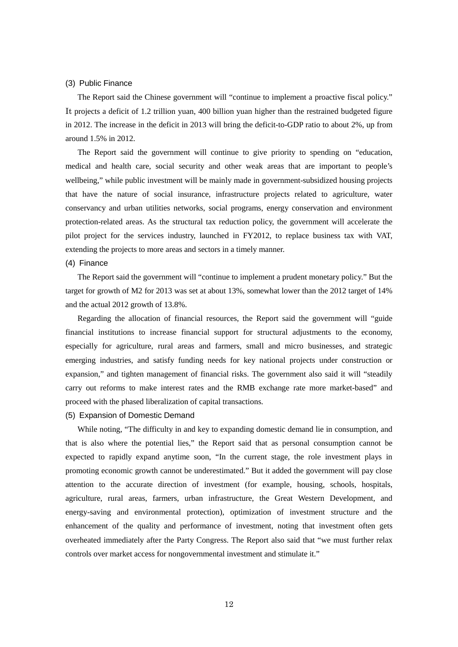#### (3) Public Finance

The Report said the Chinese government will "continue to implement a proactive fiscal policy." It projects a deficit of 1.2 trillion yuan, 400 billion yuan higher than the restrained budgeted figure in 2012. The increase in the deficit in 2013 will bring the deficit-to-GDP ratio to about 2%, up from around 1.5% in 2012.

 The Report said the government will continue to give priority to spending on "education, medical and health care, social security and other weak areas that are important to people's wellbeing," while public investment will be mainly made in government-subsidized housing projects that have the nature of social insurance, infrastructure projects related to agriculture, water conservancy and urban utilities networks, social programs, energy conservation and environment protection-related areas. As the structural tax reduction policy, the government will accelerate the pilot project for the services industry, launched in FY2012, to replace business tax with VAT, extending the projects to more areas and sectors in a timely manner.

#### (4) Finance

The Report said the government will "continue to implement a prudent monetary policy." But the target for growth of M2 for 2013 was set at about 13%, somewhat lower than the 2012 target of 14% and the actual 2012 growth of 13.8%.

 Regarding the allocation of financial resources, the Report said the government will "guide financial institutions to increase financial support for structural adjustments to the economy, especially for agriculture, rural areas and farmers, small and micro businesses, and strategic emerging industries, and satisfy funding needs for key national projects under construction or expansion," and tighten management of financial risks. The government also said it will "steadily carry out reforms to make interest rates and the RMB exchange rate more market-based" and proceed with the phased liberalization of capital transactions.

#### (5) Expansion of Domestic Demand

While noting, "The difficulty in and key to expanding domestic demand lie in consumption, and that is also where the potential lies," the Report said that as personal consumption cannot be expected to rapidly expand anytime soon, "In the current stage, the role investment plays in promoting economic growth cannot be underestimated." But it added the government will pay close attention to the accurate direction of investment (for example, housing, schools, hospitals, agriculture, rural areas, farmers, urban infrastructure, the Great Western Development, and energy-saving and environmental protection), optimization of investment structure and the enhancement of the quality and performance of investment, noting that investment often gets overheated immediately after the Party Congress. The Report also said that "we must further relax controls over market access for nongovernmental investment and stimulate it."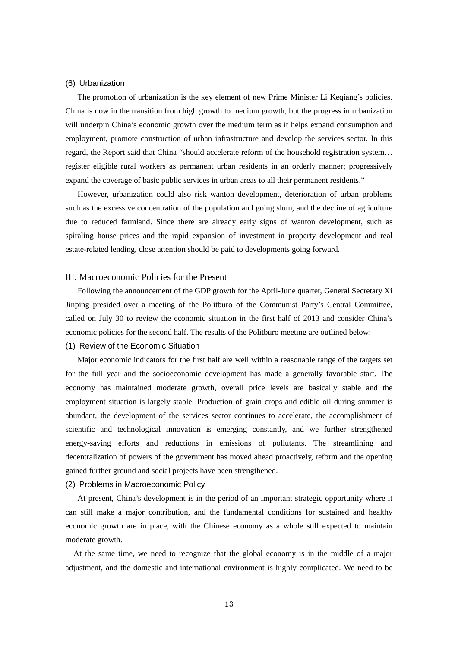#### (6) Urbanization

The promotion of urbanization is the key element of new Prime Minister Li Keqiang's policies. China is now in the transition from high growth to medium growth, but the progress in urbanization will underpin China's economic growth over the medium term as it helps expand consumption and employment, promote construction of urban infrastructure and develop the services sector. In this regard, the Report said that China "should accelerate reform of the household registration system… register eligible rural workers as permanent urban residents in an orderly manner; progressively expand the coverage of basic public services in urban areas to all their permanent residents."

 However, urbanization could also risk wanton development, deterioration of urban problems such as the excessive concentration of the population and going slum, and the decline of agriculture due to reduced farmland. Since there are already early signs of wanton development, such as spiraling house prices and the rapid expansion of investment in property development and real estate-related lending, close attention should be paid to developments going forward.

# III. Macroeconomic Policies for the Present

 Following the announcement of the GDP growth for the April-June quarter, General Secretary Xi Jinping presided over a meeting of the Politburo of the Communist Party's Central Committee, called on July 30 to review the economic situation in the first half of 2013 and consider China's economic policies for the second half. The results of the Politburo meeting are outlined below:

# (1) Review of the Economic Situation

Major economic indicators for the first half are well within a reasonable range of the targets set for the full year and the socioeconomic development has made a generally favorable start. The economy has maintained moderate growth, overall price levels are basically stable and the employment situation is largely stable. Production of grain crops and edible oil during summer is abundant, the development of the services sector continues to accelerate, the accomplishment of scientific and technological innovation is emerging constantly, and we further strengthened energy-saving efforts and reductions in emissions of pollutants. The streamlining and decentralization of powers of the government has moved ahead proactively, reform and the opening gained further ground and social projects have been strengthened.

# (2) Problems in Macroeconomic Policy

At present, China's development is in the period of an important strategic opportunity where it can still make a major contribution, and the fundamental conditions for sustained and healthy economic growth are in place, with the Chinese economy as a whole still expected to maintain moderate growth.

At the same time, we need to recognize that the global economy is in the middle of a major adjustment, and the domestic and international environment is highly complicated. We need to be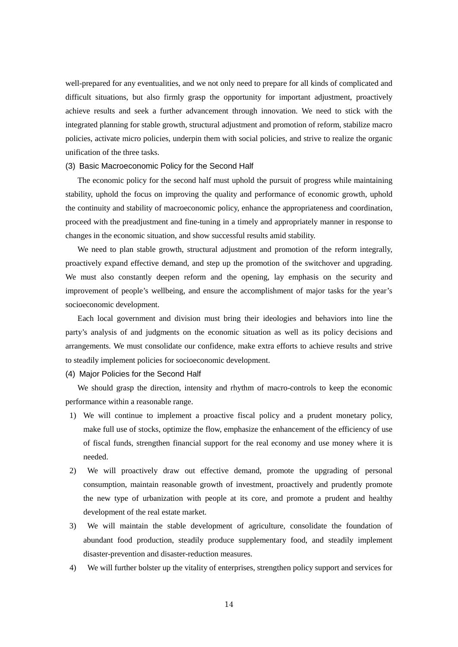well-prepared for any eventualities, and we not only need to prepare for all kinds of complicated and difficult situations, but also firmly grasp the opportunity for important adjustment, proactively achieve results and seek a further advancement through innovation. We need to stick with the integrated planning for stable growth, structural adjustment and promotion of reform, stabilize macro policies, activate micro policies, underpin them with social policies, and strive to realize the organic unification of the three tasks.

#### (3) Basic Macroeconomic Policy for the Second Half

The economic policy for the second half must uphold the pursuit of progress while maintaining stability, uphold the focus on improving the quality and performance of economic growth, uphold the continuity and stability of macroeconomic policy, enhance the appropriateness and coordination, proceed with the preadjustment and fine-tuning in a timely and appropriately manner in response to changes in the economic situation, and show successful results amid stability.

 We need to plan stable growth, structural adjustment and promotion of the reform integrally, proactively expand effective demand, and step up the promotion of the switchover and upgrading. We must also constantly deepen reform and the opening, lay emphasis on the security and improvement of people's wellbeing, and ensure the accomplishment of major tasks for the year's socioeconomic development.

 Each local government and division must bring their ideologies and behaviors into line the party's analysis of and judgments on the economic situation as well as its policy decisions and arrangements. We must consolidate our confidence, make extra efforts to achieve results and strive to steadily implement policies for socioeconomic development.

# (4) Major Policies for the Second Half

We should grasp the direction, intensity and rhythm of macro-controls to keep the economic performance within a reasonable range.

- 1) We will continue to implement a proactive fiscal policy and a prudent monetary policy, make full use of stocks, optimize the flow, emphasize the enhancement of the efficiency of use of fiscal funds, strengthen financial support for the real economy and use money where it is needed.
- 2) We will proactively draw out effective demand, promote the upgrading of personal consumption, maintain reasonable growth of investment, proactively and prudently promote the new type of urbanization with people at its core, and promote a prudent and healthy development of the real estate market.
- 3) We will maintain the stable development of agriculture, consolidate the foundation of abundant food production, steadily produce supplementary food, and steadily implement disaster-prevention and disaster-reduction measures.
- 4) We will further bolster up the vitality of enterprises, strengthen policy support and services for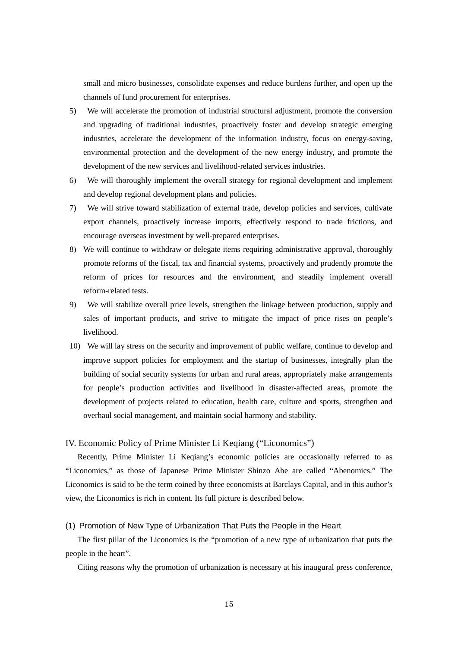small and micro businesses, consolidate expenses and reduce burdens further, and open up the channels of fund procurement for enterprises.

- 5) We will accelerate the promotion of industrial structural adjustment, promote the conversion and upgrading of traditional industries, proactively foster and develop strategic emerging industries, accelerate the development of the information industry, focus on energy-saving, environmental protection and the development of the new energy industry, and promote the development of the new services and livelihood-related services industries.
- 6) We will thoroughly implement the overall strategy for regional development and implement and develop regional development plans and policies.
- 7) We will strive toward stabilization of external trade, develop policies and services, cultivate export channels, proactively increase imports, effectively respond to trade frictions, and encourage overseas investment by well-prepared enterprises.
- 8) We will continue to withdraw or delegate items requiring administrative approval, thoroughly promote reforms of the fiscal, tax and financial systems, proactively and prudently promote the reform of prices for resources and the environment, and steadily implement overall reform-related tests.
- 9) We will stabilize overall price levels, strengthen the linkage between production, supply and sales of important products, and strive to mitigate the impact of price rises on people's livelihood.
- 10) We will lay stress on the security and improvement of public welfare, continue to develop and improve support policies for employment and the startup of businesses, integrally plan the building of social security systems for urban and rural areas, appropriately make arrangements for people's production activities and livelihood in disaster-affected areas, promote the development of projects related to education, health care, culture and sports, strengthen and overhaul social management, and maintain social harmony and stability.

# IV. Economic Policy of Prime Minister Li Keqiang ("Liconomics")

Recently, Prime Minister Li Keqiang's economic policies are occasionally referred to as "Liconomics," as those of Japanese Prime Minister Shinzo Abe are called "Abenomics." The Liconomics is said to be the term coined by three economists at Barclays Capital, and in this author's view, the Liconomics is rich in content. Its full picture is described below.

# (1) Promotion of New Type of Urbanization That Puts the People in the Heart

The first pillar of the Liconomics is the "promotion of a new type of urbanization that puts the people in the heart".

Citing reasons why the promotion of urbanization is necessary at his inaugural press conference,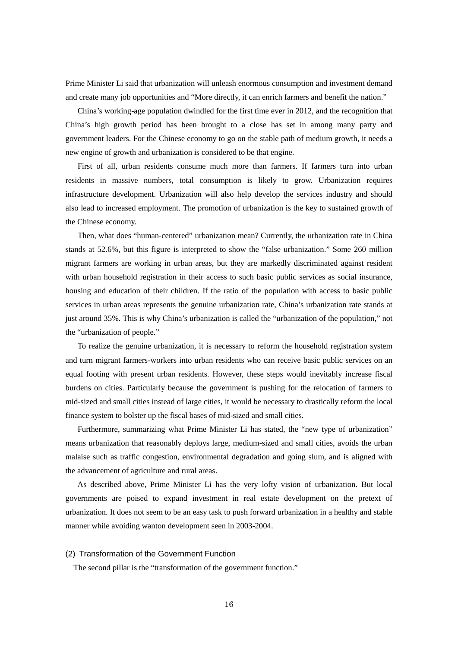Prime Minister Li said that urbanization will unleash enormous consumption and investment demand and create many job opportunities and "More directly, it can enrich farmers and benefit the nation."

 China's working-age population dwindled for the first time ever in 2012, and the recognition that China's high growth period has been brought to a close has set in among many party and government leaders. For the Chinese economy to go on the stable path of medium growth, it needs a new engine of growth and urbanization is considered to be that engine.

 First of all, urban residents consume much more than farmers. If farmers turn into urban residents in massive numbers, total consumption is likely to grow. Urbanization requires infrastructure development. Urbanization will also help develop the services industry and should also lead to increased employment. The promotion of urbanization is the key to sustained growth of the Chinese economy.

 Then, what does "human-centered" urbanization mean? Currently, the urbanization rate in China stands at 52.6%, but this figure is interpreted to show the "false urbanization." Some 260 million migrant farmers are working in urban areas, but they are markedly discriminated against resident with urban household registration in their access to such basic public services as social insurance, housing and education of their children. If the ratio of the population with access to basic public services in urban areas represents the genuine urbanization rate, China's urbanization rate stands at just around 35%. This is why China's urbanization is called the "urbanization of the population," not the "urbanization of people."

 To realize the genuine urbanization, it is necessary to reform the household registration system and turn migrant farmers-workers into urban residents who can receive basic public services on an equal footing with present urban residents. However, these steps would inevitably increase fiscal burdens on cities. Particularly because the government is pushing for the relocation of farmers to mid-sized and small cities instead of large cities, it would be necessary to drastically reform the local finance system to bolster up the fiscal bases of mid-sized and small cities.

Furthermore, summarizing what Prime Minister Li has stated, the "new type of urbanization" means urbanization that reasonably deploys large, medium-sized and small cities, avoids the urban malaise such as traffic congestion, environmental degradation and going slum, and is aligned with the advancement of agriculture and rural areas.

 As described above, Prime Minister Li has the very lofty vision of urbanization. But local governments are poised to expand investment in real estate development on the pretext of urbanization. It does not seem to be an easy task to push forward urbanization in a healthy and stable manner while avoiding wanton development seen in 2003-2004.

#### (2) Transformation of the Government Function

The second pillar is the "transformation of the government function."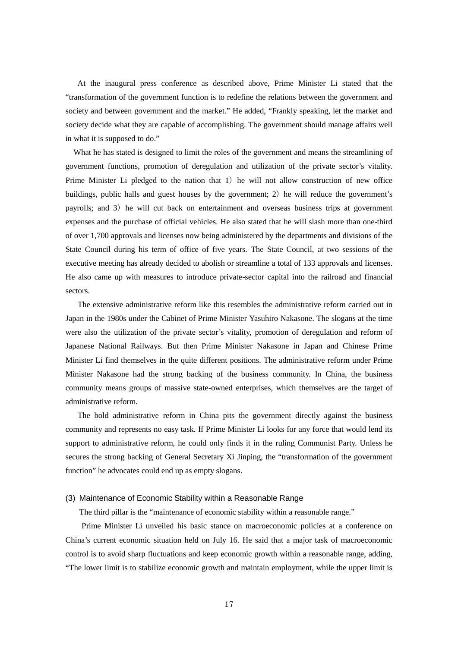At the inaugural press conference as described above, Prime Minister Li stated that the "transformation of the government function is to redefine the relations between the government and society and between government and the market." He added, "Frankly speaking, let the market and society decide what they are capable of accomplishing. The government should manage affairs well in what it is supposed to do."

 What he has stated is designed to limit the roles of the government and means the streamlining of government functions, promotion of deregulation and utilization of the private sector's vitality. Prime Minister Li pledged to the nation that 1) he will not allow construction of new office buildings, public halls and guest houses by the government; 2) he will reduce the government's payrolls; and 3) he will cut back on entertainment and overseas business trips at government expenses and the purchase of official vehicles. He also stated that he will slash more than one-third of over 1,700 approvals and licenses now being administered by the departments and divisions of the State Council during his term of office of five years. The State Council, at two sessions of the executive meeting has already decided to abolish or streamline a total of 133 approvals and licenses. He also came up with measures to introduce private-sector capital into the railroad and financial sectors.

 The extensive administrative reform like this resembles the administrative reform carried out in Japan in the 1980s under the Cabinet of Prime Minister Yasuhiro Nakasone. The slogans at the time were also the utilization of the private sector's vitality, promotion of deregulation and reform of Japanese National Railways. But then Prime Minister Nakasone in Japan and Chinese Prime Minister Li find themselves in the quite different positions. The administrative reform under Prime Minister Nakasone had the strong backing of the business community. In China, the business community means groups of massive state-owned enterprises, which themselves are the target of administrative reform.

 The bold administrative reform in China pits the government directly against the business community and represents no easy task. If Prime Minister Li looks for any force that would lend its support to administrative reform, he could only finds it in the ruling Communist Party. Unless he secures the strong backing of General Secretary Xi Jinping, the "transformation of the government function" he advocates could end up as empty slogans.

#### (3) Maintenance of Economic Stability within a Reasonable Range

The third pillar is the "maintenance of economic stability within a reasonable range."

 Prime Minister Li unveiled his basic stance on macroeconomic policies at a conference on China's current economic situation held on July 16. He said that a major task of macroeconomic control is to avoid sharp fluctuations and keep economic growth within a reasonable range, adding, "The lower limit is to stabilize economic growth and maintain employment, while the upper limit is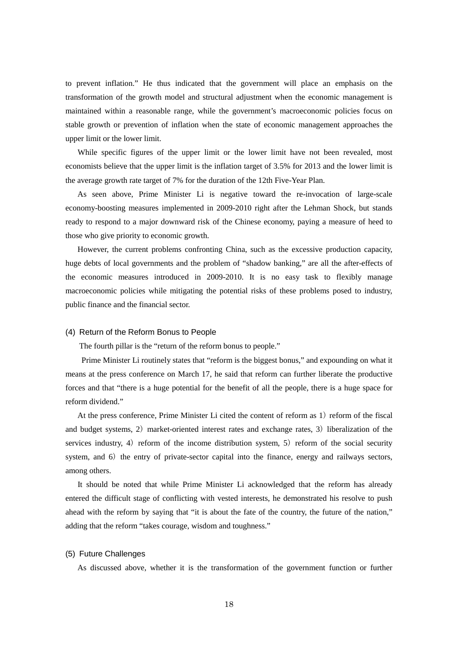to prevent inflation." He thus indicated that the government will place an emphasis on the transformation of the growth model and structural adjustment when the economic management is maintained within a reasonable range, while the government's macroeconomic policies focus on stable growth or prevention of inflation when the state of economic management approaches the upper limit or the lower limit.

 While specific figures of the upper limit or the lower limit have not been revealed, most economists believe that the upper limit is the inflation target of 3.5% for 2013 and the lower limit is the average growth rate target of 7% for the duration of the 12th Five-Year Plan.

 As seen above, Prime Minister Li is negative toward the re-invocation of large-scale economy-boosting measures implemented in 2009-2010 right after the Lehman Shock, but stands ready to respond to a major downward risk of the Chinese economy, paying a measure of heed to those who give priority to economic growth.

 However, the current problems confronting China, such as the excessive production capacity, huge debts of local governments and the problem of "shadow banking," are all the after-effects of the economic measures introduced in 2009-2010. It is no easy task to flexibly manage macroeconomic policies while mitigating the potential risks of these problems posed to industry, public finance and the financial sector.

#### (4) Return of the Reform Bonus to People

The fourth pillar is the "return of the reform bonus to people."

 Prime Minister Li routinely states that "reform is the biggest bonus," and expounding on what it means at the press conference on March 17, he said that reform can further liberate the productive forces and that "there is a huge potential for the benefit of all the people, there is a huge space for reform dividend."

At the press conference, Prime Minister Li cited the content of reform as 1) reform of the fiscal and budget systems, 2) market-oriented interest rates and exchange rates, 3) liberalization of the services industry, 4) reform of the income distribution system, 5) reform of the social security system, and 6) the entry of private-sector capital into the finance, energy and railways sectors, among others.

 It should be noted that while Prime Minister Li acknowledged that the reform has already entered the difficult stage of conflicting with vested interests, he demonstrated his resolve to push ahead with the reform by saying that "it is about the fate of the country, the future of the nation," adding that the reform "takes courage, wisdom and toughness."

#### (5) Future Challenges

As discussed above, whether it is the transformation of the government function or further